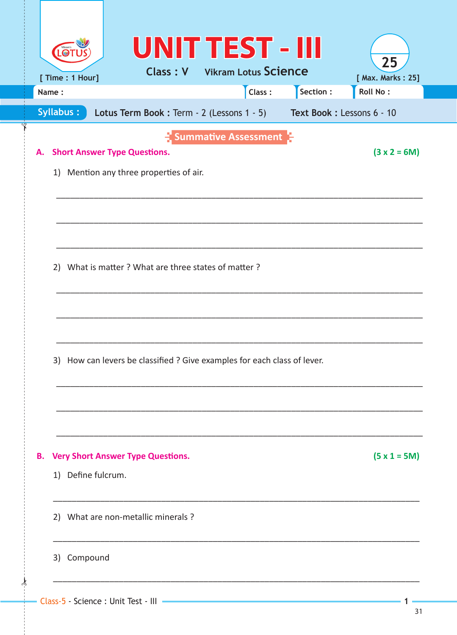|                  |                                     |                                                                          |                             | Class: | Section : | <b>Roll No:</b> |
|------------------|-------------------------------------|--------------------------------------------------------------------------|-----------------------------|--------|-----------|-----------------|
| <b>Syllabus:</b> |                                     | Lotus Term Book: Term - 2 (Lessons 1 - 5) Text Book: Lessons 6 - 10      |                             |        |           |                 |
| А.               | <b>Short Answer Type Questions.</b> | 1) Mention any three properties of air.                                  | <b>Summative Assessment</b> |        |           | $(3 x 2 = 6M)$  |
|                  |                                     | 2) What is matter ? What are three states of matter ?                    |                             |        |           |                 |
|                  |                                     | 3) How can levers be classified ? Give examples for each class of lever. |                             |        |           |                 |
|                  | 1) Define fulcrum.                  | <b>B.</b> Very Short Answer Type Questions.                              |                             |        |           | $(5 x 1 = 5M)$  |
|                  |                                     |                                                                          |                             |        |           |                 |
|                  |                                     | 2) What are non-metallic minerals ?                                      |                             |        |           |                 |